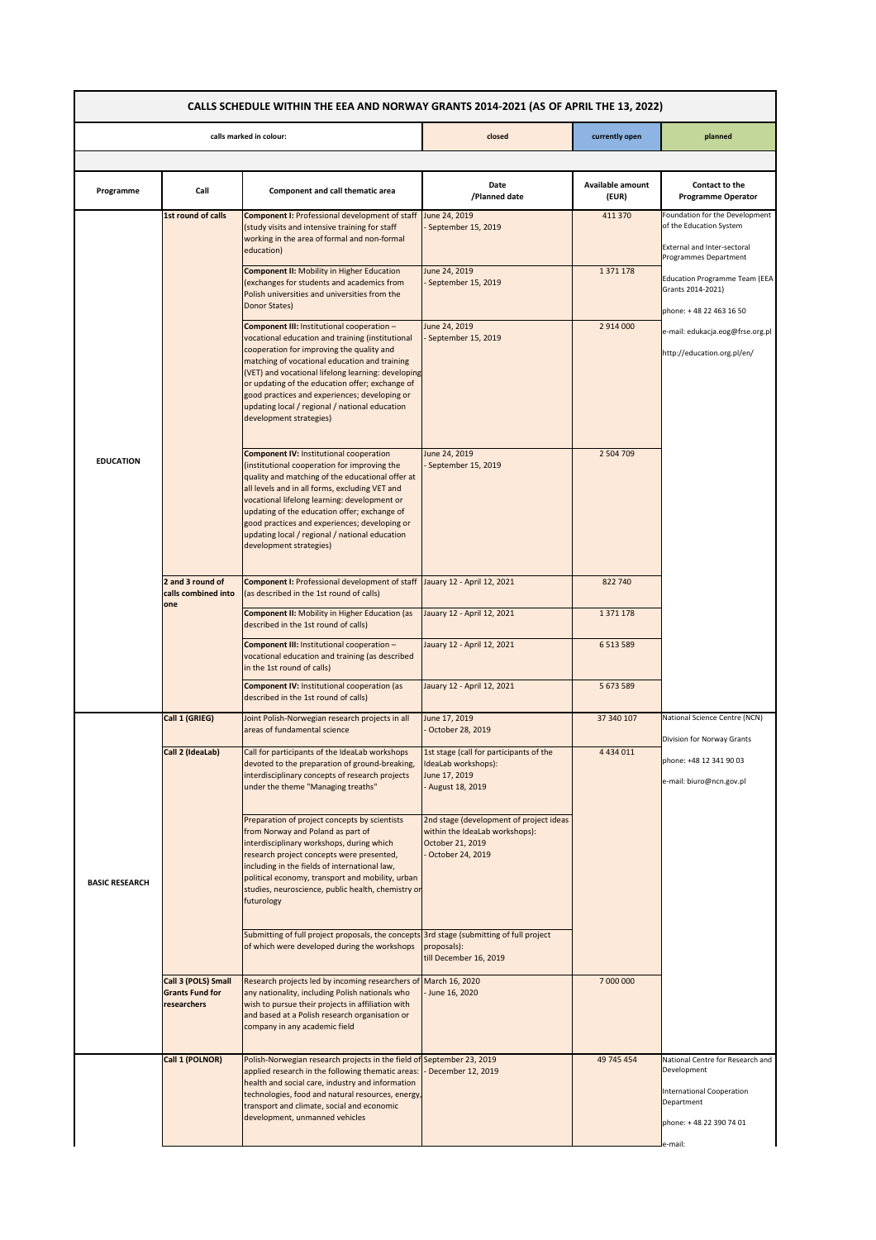| CALLS SCHEDULE WITHIN THE EEA AND NORWAY GRANTS 2014-2021 (AS OF APRIL THE 13, 2022) |                                                              |                                                                                                                                                                                                                                                                                                                                                                                                                                     |                                                                                                                   |                           |                                                                                                                                         |  |
|--------------------------------------------------------------------------------------|--------------------------------------------------------------|-------------------------------------------------------------------------------------------------------------------------------------------------------------------------------------------------------------------------------------------------------------------------------------------------------------------------------------------------------------------------------------------------------------------------------------|-------------------------------------------------------------------------------------------------------------------|---------------------------|-----------------------------------------------------------------------------------------------------------------------------------------|--|
| calls marked in colour:                                                              |                                                              |                                                                                                                                                                                                                                                                                                                                                                                                                                     | closed                                                                                                            | currently open            | planned                                                                                                                                 |  |
|                                                                                      |                                                              |                                                                                                                                                                                                                                                                                                                                                                                                                                     |                                                                                                                   |                           |                                                                                                                                         |  |
| Programme                                                                            | Call                                                         | Component and call thematic area                                                                                                                                                                                                                                                                                                                                                                                                    | Date<br>/Planned date                                                                                             | Available amount<br>(EUR) | Contact to the<br><b>Programme Operator</b>                                                                                             |  |
|                                                                                      | 1st round of calls                                           | <b>Component I: Professional development of staff</b><br>(study visits and intensive training for staff<br>working in the area of formal and non-formal<br>education)                                                                                                                                                                                                                                                               | June 24, 2019<br>September 15, 2019                                                                               | 411 370                   | Foundation for the Development<br>of the Education System<br>External and Inter-sectoral<br>Programmes Department                       |  |
|                                                                                      |                                                              | <b>Component II: Mobility in Higher Education</b><br>(exchanges for students and academics from<br>Polish universities and universities from the<br>Donor States)                                                                                                                                                                                                                                                                   | June 24, 2019<br>September 15, 2019                                                                               | 1 371 178                 | Education Programme Team (EEA<br>Grants 2014-2021)<br>phone: +48 22 463 16 50                                                           |  |
|                                                                                      |                                                              | Component III: Institutional cooperation -<br>vocational education and training (institutional<br>cooperation for improving the quality and<br>matching of vocational education and training<br>(VET) and vocational lifelong learning: developing<br>or updating of the education offer; exchange of<br>good practices and experiences; developing or<br>updating local / regional / national education<br>development strategies) | June 24, 2019<br>September 15, 2019                                                                               | 2 914 000                 | e-mail: edukacja.eog@frse.org.pl<br>http://education.org.pl/en/                                                                         |  |
| <b>EDUCATION</b>                                                                     |                                                              | <b>Component IV: Institutional cooperation</b><br>(institutional cooperation for improving the<br>quality and matching of the educational offer at<br>all levels and in all forms, excluding VET and<br>vocational lifelong learning: development or<br>updating of the education offer; exchange of<br>good practices and experiences; developing or<br>updating local / regional / national education<br>development strategies)  | June 24, 2019<br>September 15, 2019                                                                               | 2 504 709                 |                                                                                                                                         |  |
|                                                                                      | 2 and 3 round of<br>calls combined into<br>one               | Component I: Professional development of staff Jauary 12 - April 12, 2021<br>(as described in the 1st round of calls)                                                                                                                                                                                                                                                                                                               |                                                                                                                   | 822 740                   |                                                                                                                                         |  |
|                                                                                      |                                                              | <b>Component II: Mobility in Higher Education (as</b><br>described in the 1st round of calls)                                                                                                                                                                                                                                                                                                                                       | Jauary 12 - April 12, 2021                                                                                        | 1 371 178                 |                                                                                                                                         |  |
|                                                                                      |                                                              | Component III: Institutional cooperation -<br>vocational education and training (as described<br>in the 1st round of calls)                                                                                                                                                                                                                                                                                                         | Jauary 12 - April 12, 2021                                                                                        | 6 5 13 5 89               |                                                                                                                                         |  |
|                                                                                      |                                                              | <b>Component IV: Institutional cooperation (as</b><br>described in the 1st round of calls)                                                                                                                                                                                                                                                                                                                                          | Jauary 12 - April 12, 2021                                                                                        | 5 673 589                 |                                                                                                                                         |  |
|                                                                                      | Call 1 (GRIEG)                                               | Joint Polish-Norwegian research projects in all<br>areas of fundamental science                                                                                                                                                                                                                                                                                                                                                     | June 17, 2019<br>October 28, 2019                                                                                 | 37 340 107                | National Science Centre (NCN)<br>Division for Norway Grants                                                                             |  |
| <b>BASIC RESEARCH</b>                                                                | Call 2 (IdeaLab)                                             | Call for participants of the IdeaLab workshops<br>devoted to the preparation of ground-breaking,<br>interdisciplinary concepts of research projects<br>under the theme "Managing treaths"                                                                                                                                                                                                                                           | 1st stage (call for participants of the<br>IdeaLab workshops):<br>June 17, 2019<br>- August 18, 2019              | 4 4 3 4 0 1 1             | phone: +48 12 341 90 03<br>e-mail: biuro@ncn.gov.pl                                                                                     |  |
|                                                                                      |                                                              | Preparation of project concepts by scientists<br>from Norway and Poland as part of<br>interdisciplinary workshops, during which<br>research project concepts were presented,<br>including in the fields of international law,<br>political economy, transport and mobility, urban<br>studies, neuroscience, public health, chemistry or<br>futurology                                                                               | 2nd stage (development of project ideas<br>within the IdeaLab workshops):<br>October 21, 2019<br>October 24, 2019 |                           |                                                                                                                                         |  |
|                                                                                      |                                                              | Submitting of full project proposals, the concepts 3rd stage (submitting of full project<br>of which were developed during the workshops                                                                                                                                                                                                                                                                                            | proposals):<br>till December 16, 2019                                                                             |                           |                                                                                                                                         |  |
|                                                                                      | Call 3 (POLS) Small<br><b>Grants Fund for</b><br>researchers | Research projects led by incoming researchers of March 16, 2020<br>any nationality, including Polish nationals who<br>wish to pursue their projects in affiliation with<br>and based at a Polish research organisation or<br>company in any academic field                                                                                                                                                                          | June 16, 2020                                                                                                     | 7 000 000                 |                                                                                                                                         |  |
|                                                                                      | Call 1 (POLNOR)                                              | Polish-Norwegian research projects in the field of September 23, 2019<br>applied research in the following thematic areas:<br>health and social care, industry and information<br>technologies, food and natural resources, energy,<br>transport and climate, social and economic<br>development, unmanned vehicles                                                                                                                 | December 12, 2019                                                                                                 | 49 745 454                | National Centre for Research and<br>Development<br><b>International Cooperation</b><br>Department<br>phone: +48 22 390 74 01<br>e-mail: |  |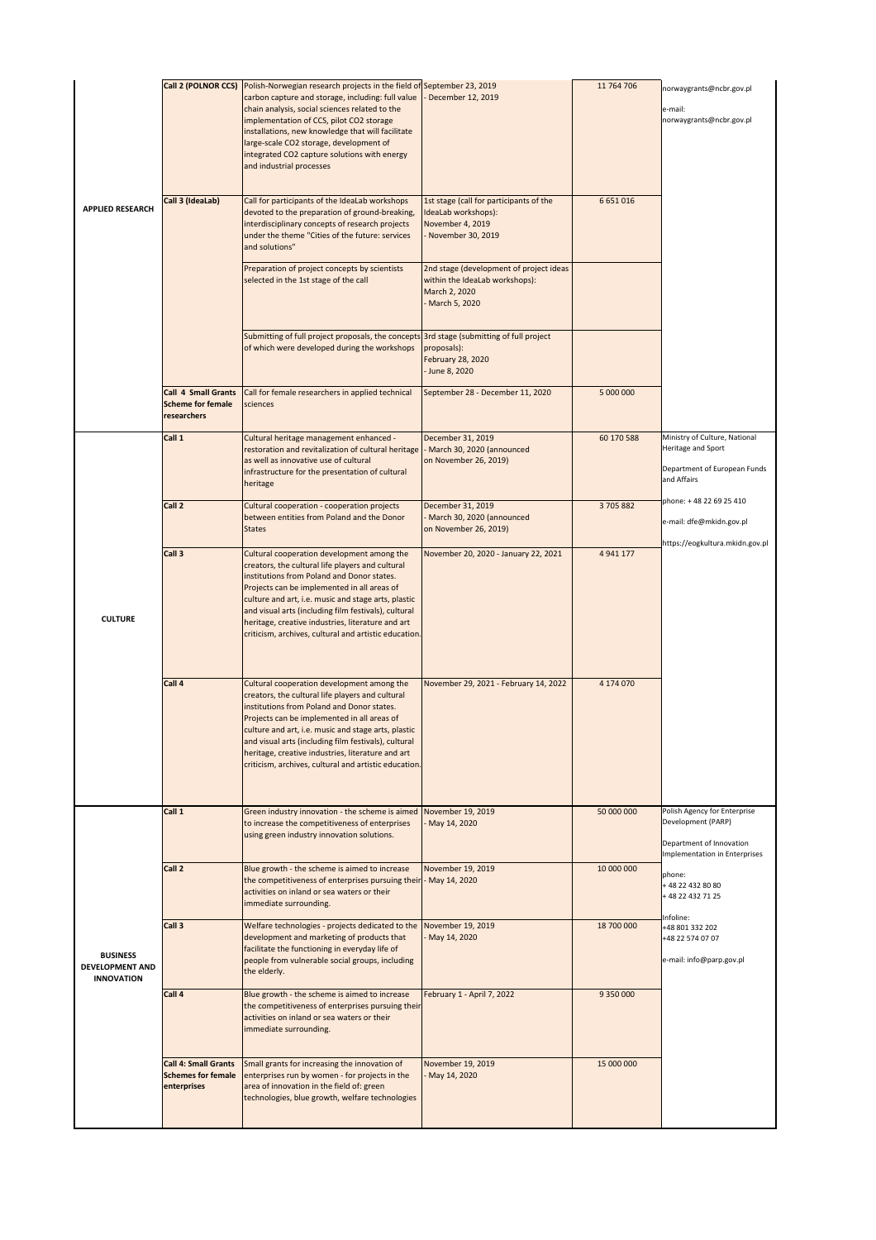| <b>APPLIED RESEARCH</b>                                 | Call 2 (POLNOR CCS)                                                     | Polish-Norwegian research projects in the field of September 23, 2019<br>carbon capture and storage, including: full value<br>chain analysis, social sciences related to the<br>implementation of CCS, pilot CO2 storage<br>installations, new knowledge that will facilitate<br>large-scale CO2 storage, development of<br>integrated CO2 capture solutions with energy<br>and industrial processes                     | December 12, 2019                                                                                             | 11 764 706 | .<br>norwaygrants@ncbr.gov.pl<br>e-mail:<br>norwaygrants@ncbr.gov.pl                                            |
|---------------------------------------------------------|-------------------------------------------------------------------------|--------------------------------------------------------------------------------------------------------------------------------------------------------------------------------------------------------------------------------------------------------------------------------------------------------------------------------------------------------------------------------------------------------------------------|---------------------------------------------------------------------------------------------------------------|------------|-----------------------------------------------------------------------------------------------------------------|
|                                                         | Call 3 (IdeaLab)                                                        | Call for participants of the IdeaLab workshops<br>devoted to the preparation of ground-breaking,<br>interdisciplinary concepts of research projects<br>under the theme "Cities of the future: services<br>and solutions"                                                                                                                                                                                                 | 1st stage (call for participants of the<br>IdeaLab workshops):<br>November 4, 2019<br>November 30, 2019       | 6 651 016  |                                                                                                                 |
|                                                         |                                                                         | Preparation of project concepts by scientists<br>selected in the 1st stage of the call                                                                                                                                                                                                                                                                                                                                   | 2nd stage (development of project ideas<br>within the IdeaLab workshops):<br>March 2, 2020<br>- March 5, 2020 |            |                                                                                                                 |
|                                                         |                                                                         | Submitting of full project proposals, the concepts 3rd stage (submitting of full project<br>of which were developed during the workshops                                                                                                                                                                                                                                                                                 | proposals):<br><b>February 28, 2020</b><br>- June 8, 2020                                                     |            |                                                                                                                 |
|                                                         | <b>Call 4 Small Grants</b><br><b>Scheme for female</b><br>researchers   | Call for female researchers in applied technical<br>sciences                                                                                                                                                                                                                                                                                                                                                             | September 28 - December 11, 2020                                                                              | 5 000 000  |                                                                                                                 |
|                                                         | Call 1                                                                  | Cultural heritage management enhanced -<br>restoration and revitalization of cultural heritage<br>as well as innovative use of cultural<br>infrastructure for the presentation of cultural<br>heritage                                                                                                                                                                                                                   | December 31, 2019<br>- March 30, 2020 (announced<br>on November 26, 2019)                                     | 60 170 588 | Ministry of Culture, National<br>Heritage and Sport<br>Department of European Funds<br>and Affairs              |
|                                                         | Call 2                                                                  | Cultural cooperation - cooperation projects<br>between entities from Poland and the Donor<br><b>States</b>                                                                                                                                                                                                                                                                                                               | December 31, 2019<br>- March 30, 2020 (announced<br>on November 26, 2019)                                     | 3 705 882  | phone: +48 22 69 25 410<br>e-mail: dfe@mkidn.gov.pl<br>https://eogkultura.mkidn.gov.pl                          |
| <b>CULTURE</b>                                          | Call 3                                                                  | Cultural cooperation development among the<br>creators, the cultural life players and cultural<br>institutions from Poland and Donor states.<br>Projects can be implemented in all areas of<br>culture and art, i.e. music and stage arts, plastic<br>and visual arts (including film festivals), cultural<br>heritage, creative industries, literature and art<br>criticism, archives, cultural and artistic education. | November 20, 2020 - January 22, 2021                                                                          | 4 941 177  |                                                                                                                 |
|                                                         | Call 4                                                                  | Cultural cooperation development among the<br>creators, the cultural life players and cultural<br>institutions from Poland and Donor states.<br>Projects can be implemented in all areas of<br>culture and art, i.e. music and stage arts, plastic<br>and visual arts (including film festivals), cultural<br>heritage, creative industries, literature and art<br>criticism, archives, cultural and artistic education. | November 29, 2021 - February 14, 2022                                                                         | 4 174 070  |                                                                                                                 |
| <b>BUSINESS</b><br>DEVELOPMENT AND<br><b>INNOVATION</b> | Call 1                                                                  | Green industry innovation - the scheme is aimed November 19, 2019<br>to increase the competitiveness of enterprises<br>using green industry innovation solutions.                                                                                                                                                                                                                                                        | May 14, 2020                                                                                                  | 50 000 000 | Polish Agency for Enterprise<br>Development (PARP)<br>Department of Innovation<br>Implementation in Enterprises |
|                                                         | Call 2                                                                  | Blue growth - the scheme is aimed to increase<br>the competitiveness of enterprises pursuing their - May 14, 2020<br>activities on inland or sea waters or their<br>immediate surrounding.                                                                                                                                                                                                                               | November 19, 2019                                                                                             | 10 000 000 | phone:<br>+48 22 432 80 80<br>+48 22 432 71 25                                                                  |
|                                                         | Call 3                                                                  | Welfare technologies - projects dedicated to the<br>development and marketing of products that<br>facilitate the functioning in everyday life of<br>people from vulnerable social groups, including<br>the elderly.                                                                                                                                                                                                      | November 19, 2019<br>May 14, 2020                                                                             | 18 700 000 | Infoline:<br>+48 801 332 202<br>+48 22 574 07 07<br>e-mail: info@parp.gov.pl                                    |
|                                                         | Call 4                                                                  | Blue growth - the scheme is aimed to increase<br>the competitiveness of enterprises pursuing their<br>activities on inland or sea waters or their<br>immediate surrounding.                                                                                                                                                                                                                                              | February 1 - April 7, 2022                                                                                    | 9 350 000  |                                                                                                                 |
|                                                         | <b>Call 4: Small Grants</b><br><b>Schemes for female</b><br>enterprises | Small grants for increasing the innovation of<br>enterprises run by women - for projects in the<br>area of innovation in the field of: green<br>technologies, blue growth, welfare technologies                                                                                                                                                                                                                          | November 19, 2019<br>May 14, 2020                                                                             | 15 000 000 |                                                                                                                 |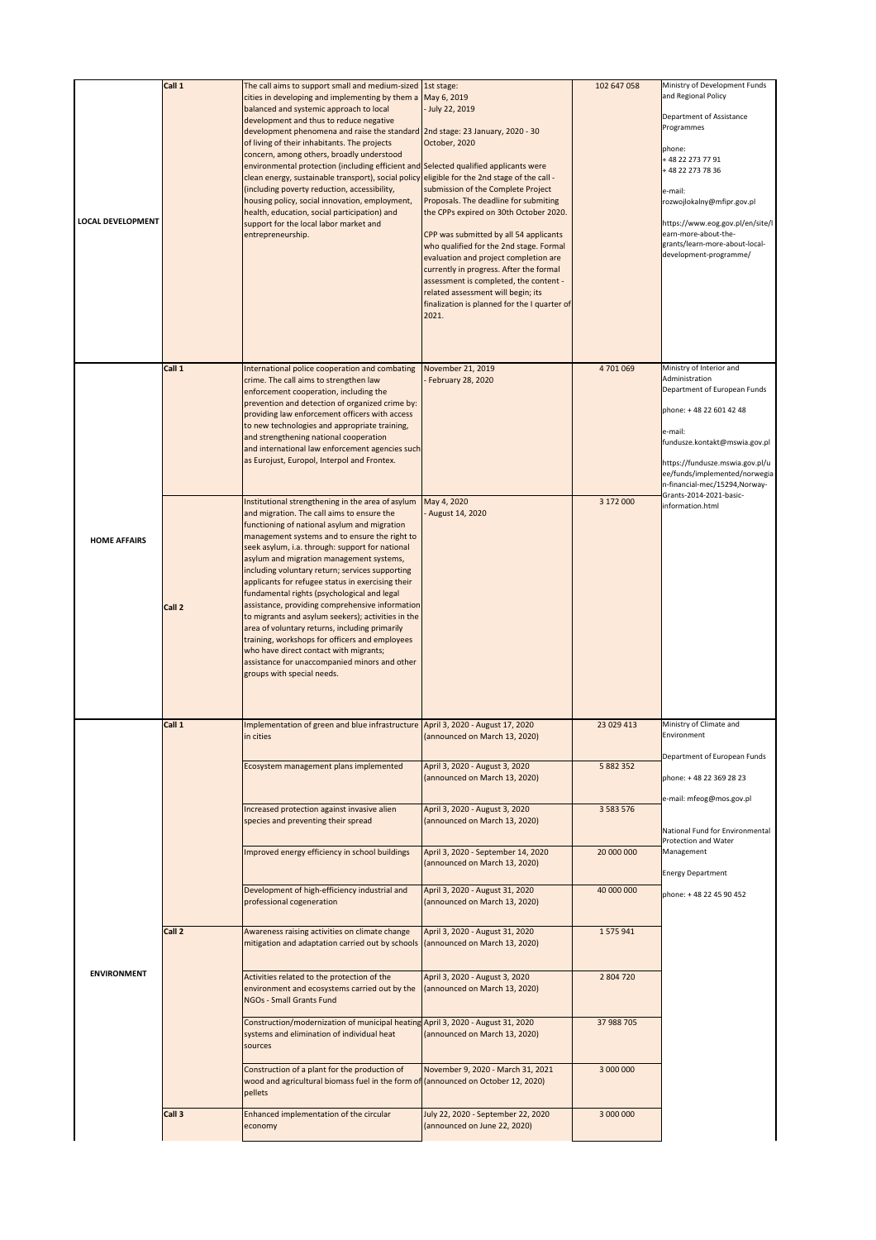| <b>LOCAL DEVELOPMENT</b> | Call 1 | The call aims to support small and medium-sized 1st stage:<br>cities in developing and implementing by them a<br>balanced and systemic approach to local<br>development and thus to reduce negative<br>development phenomena and raise the standard<br>of living of their inhabitants. The projects<br>concern, among others, broadly understood<br>environmental protection (including efficient and Selected qualified applicants were<br>clean energy, sustainable transport), social policy eligible for the 2nd stage of the call -<br>(including poverty reduction, accessibility,<br>housing policy, social innovation, employment,<br>health, education, social participation) and<br>support for the local labor market and<br>entrepreneurship.                                    | May 6, 2019<br>- July 22, 2019<br>2nd stage: 23 January, 2020 - 30<br>October, 2020<br>submission of the Complete Project<br>Proposals. The deadline for submiting<br>the CPPs expired on 30th October 2020.<br>CPP was submitted by all 54 applicants<br>who qualified for the 2nd stage. Formal<br>evaluation and project completion are<br>currently in progress. After the formal<br>assessment is completed, the content -<br>related assessment will begin; its<br>finalization is planned for the I quarter of<br>2021. | 102 647 058   | Ministry of Development Funds<br>and Regional Policy<br>Department of Assistance<br>Programmes<br>phone:<br>+ 48 22 273 77 91<br>+48 22 273 78 36<br>e-mail:<br>rozwojlokalny@mfipr.gov.pl<br>https://www.eog.gov.pl/en/site/l<br>earn-more-about-the-<br>grants/learn-more-about-local-<br>development-programme/ |
|--------------------------|--------|----------------------------------------------------------------------------------------------------------------------------------------------------------------------------------------------------------------------------------------------------------------------------------------------------------------------------------------------------------------------------------------------------------------------------------------------------------------------------------------------------------------------------------------------------------------------------------------------------------------------------------------------------------------------------------------------------------------------------------------------------------------------------------------------|--------------------------------------------------------------------------------------------------------------------------------------------------------------------------------------------------------------------------------------------------------------------------------------------------------------------------------------------------------------------------------------------------------------------------------------------------------------------------------------------------------------------------------|---------------|--------------------------------------------------------------------------------------------------------------------------------------------------------------------------------------------------------------------------------------------------------------------------------------------------------------------|
|                          | Call 1 | International police cooperation and combating<br>crime. The call aims to strengthen law<br>enforcement cooperation, including the<br>prevention and detection of organized crime by:<br>providing law enforcement officers with access<br>to new technologies and appropriate training,<br>and strengthening national cooperation<br>and international law enforcement agencies such<br>as Eurojust, Europol, Interpol and Frontex.                                                                                                                                                                                                                                                                                                                                                         | November 21, 2019<br>February 28, 2020                                                                                                                                                                                                                                                                                                                                                                                                                                                                                         | 4 701 069     | Ministry of Interior and<br>Administration<br>Department of European Funds<br>phone: +48 22 601 42 48<br>e-mail:<br>fundusze.kontakt@mswia.gov.pl<br>https://fundusze.mswia.gov.pl/u<br>ee/funds/implemented/norwegia<br>n-financial-mec/15294, Norway-                                                            |
| <b>HOME AFFAIRS</b>      | Call 2 | Institutional strengthening in the area of asylum<br>and migration. The call aims to ensure the<br>functioning of national asylum and migration<br>management systems and to ensure the right to<br>seek asylum, i.a. through: support for national<br>asylum and migration management systems,<br>including voluntary return; services supporting<br>applicants for refugee status in exercising their<br>fundamental rights (psychological and legal<br>assistance, providing comprehensive information<br>to migrants and asylum seekers); activities in the<br>area of voluntary returns, including primarily<br>training, workshops for officers and employees<br>who have direct contact with migrants;<br>assistance for unaccompanied minors and other<br>groups with special needs. | May 4, 2020<br>August 14, 2020                                                                                                                                                                                                                                                                                                                                                                                                                                                                                                 | 3 172 000     | Grants-2014-2021-basic-<br>information.html                                                                                                                                                                                                                                                                        |
|                          | Call 1 | Implementation of green and blue infrastructure April 3, 2020 - August 17, 2020<br>in cities                                                                                                                                                                                                                                                                                                                                                                                                                                                                                                                                                                                                                                                                                                 | (announced on March 13, 2020)                                                                                                                                                                                                                                                                                                                                                                                                                                                                                                  | 23 029 413    | Ministry of Climate and<br>Environment<br>Department of European Funds                                                                                                                                                                                                                                             |
|                          |        | Ecosystem management plans implemented                                                                                                                                                                                                                                                                                                                                                                                                                                                                                                                                                                                                                                                                                                                                                       | April 3, 2020 - August 3, 2020<br>(announced on March 13, 2020)                                                                                                                                                                                                                                                                                                                                                                                                                                                                | 5 882 352     | phone: +48 22 369 28 23<br>e-mail: mfeog@mos.gov.pl                                                                                                                                                                                                                                                                |
|                          |        | Increased protection against invasive alien<br>species and preventing their spread                                                                                                                                                                                                                                                                                                                                                                                                                                                                                                                                                                                                                                                                                                           | April 3, 2020 - August 3, 2020<br>(announced on March 13, 2020)                                                                                                                                                                                                                                                                                                                                                                                                                                                                | 3 5 8 3 5 7 6 | National Fund for Environmental<br>Protection and Water                                                                                                                                                                                                                                                            |
|                          |        | Improved energy efficiency in school buildings                                                                                                                                                                                                                                                                                                                                                                                                                                                                                                                                                                                                                                                                                                                                               | April 3, 2020 - September 14, 2020<br>(announced on March 13, 2020)                                                                                                                                                                                                                                                                                                                                                                                                                                                            | 20 000 000    | Management<br><b>Energy Department</b>                                                                                                                                                                                                                                                                             |
|                          |        | Development of high-efficiency industrial and<br>professional cogeneration                                                                                                                                                                                                                                                                                                                                                                                                                                                                                                                                                                                                                                                                                                                   | April 3, 2020 - August 31, 2020<br>(announced on March 13, 2020)                                                                                                                                                                                                                                                                                                                                                                                                                                                               | 40 000 000    | phone: +48 22 45 90 452                                                                                                                                                                                                                                                                                            |
|                          | Call 2 | Awareness raising activities on climate change<br>mitigation and adaptation carried out by schools                                                                                                                                                                                                                                                                                                                                                                                                                                                                                                                                                                                                                                                                                           | April 3, 2020 - August 31, 2020<br>(announced on March 13, 2020)                                                                                                                                                                                                                                                                                                                                                                                                                                                               | 1575941       |                                                                                                                                                                                                                                                                                                                    |
| <b>ENVIRONMENT</b>       |        | Activities related to the protection of the<br>environment and ecosystems carried out by the<br>NGOs - Small Grants Fund                                                                                                                                                                                                                                                                                                                                                                                                                                                                                                                                                                                                                                                                     | April 3, 2020 - August 3, 2020<br>(announced on March 13, 2020)                                                                                                                                                                                                                                                                                                                                                                                                                                                                | 2 804 720     |                                                                                                                                                                                                                                                                                                                    |
|                          |        | Construction/modernization of municipal heating April 3, 2020 - August 31, 2020<br>systems and elimination of individual heat<br>sources                                                                                                                                                                                                                                                                                                                                                                                                                                                                                                                                                                                                                                                     | (announced on March 13, 2020)                                                                                                                                                                                                                                                                                                                                                                                                                                                                                                  | 37 988 705    |                                                                                                                                                                                                                                                                                                                    |
|                          |        | Construction of a plant for the production of<br>wood and agricultural biomass fuel in the form of (announced on October 12, 2020)<br>pellets                                                                                                                                                                                                                                                                                                                                                                                                                                                                                                                                                                                                                                                | November 9, 2020 - March 31, 2021                                                                                                                                                                                                                                                                                                                                                                                                                                                                                              | 3 000 000     |                                                                                                                                                                                                                                                                                                                    |
|                          | Call 3 | Enhanced implementation of the circular<br>economy                                                                                                                                                                                                                                                                                                                                                                                                                                                                                                                                                                                                                                                                                                                                           | July 22, 2020 - September 22, 2020<br>(announced on June 22, 2020)                                                                                                                                                                                                                                                                                                                                                                                                                                                             | 3 000 000     |                                                                                                                                                                                                                                                                                                                    |